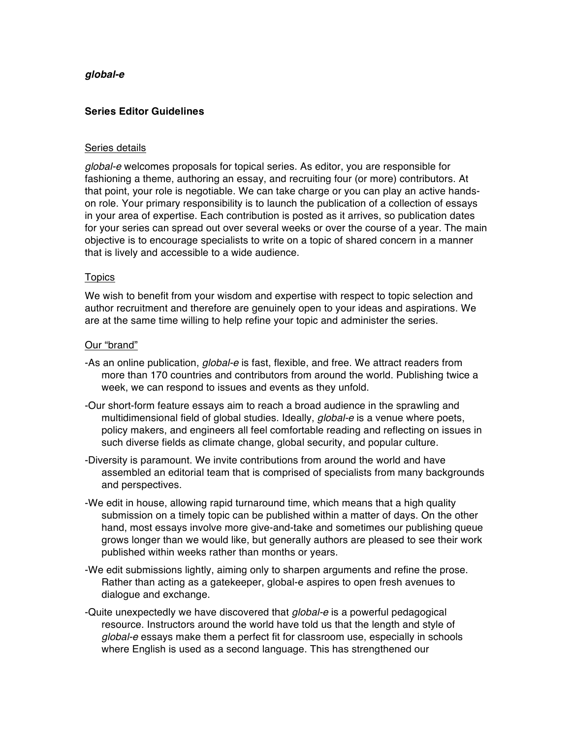# *global-e*

## **Series Editor Guidelines**

## Series details

*global-e* welcomes proposals for topical series. As editor, you are responsible for fashioning a theme, authoring an essay, and recruiting four (or more) contributors. At that point, your role is negotiable. We can take charge or you can play an active handson role. Your primary responsibility is to launch the publication of a collection of essays in your area of expertise. Each contribution is posted as it arrives, so publication dates for your series can spread out over several weeks or over the course of a year. The main objective is to encourage specialists to write on a topic of shared concern in a manner that is lively and accessible to a wide audience.

## **Topics**

We wish to benefit from your wisdom and expertise with respect to topic selection and author recruitment and therefore are genuinely open to your ideas and aspirations. We are at the same time willing to help refine your topic and administer the series.

# Our "brand"

- -As an online publication, *global-e* is fast, flexible, and free. We attract readers from more than 170 countries and contributors from around the world. Publishing twice a week, we can respond to issues and events as they unfold.
- -Our short-form feature essays aim to reach a broad audience in the sprawling and multidimensional field of global studies. Ideally, *global-e* is a venue where poets, policy makers, and engineers all feel comfortable reading and reflecting on issues in such diverse fields as climate change, global security, and popular culture.
- -Diversity is paramount. We invite contributions from around the world and have assembled an editorial team that is comprised of specialists from many backgrounds and perspectives.
- -We edit in house, allowing rapid turnaround time, which means that a high quality submission on a timely topic can be published within a matter of days. On the other hand, most essays involve more give-and-take and sometimes our publishing queue grows longer than we would like, but generally authors are pleased to see their work published within weeks rather than months or years.
- -We edit submissions lightly, aiming only to sharpen arguments and refine the prose. Rather than acting as a gatekeeper, global-e aspires to open fresh avenues to dialogue and exchange.
- -Quite unexpectedly we have discovered that *global-e* is a powerful pedagogical resource. Instructors around the world have told us that the length and style of *global-e* essays make them a perfect fit for classroom use, especially in schools where English is used as a second language. This has strengthened our